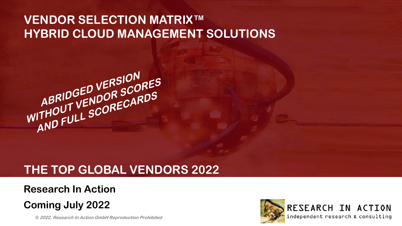## **VENDOR SELECTION MATRIX™ HYBRID CLOUD MANAGEMENT SOLUTIONS**



## **THE TOP GLOBAL VENDORS 2022**

### **Research In Action**

## **Coming July 2022**

**1 © 2022, Research In Action GmbH Reproduction Prohibited**



RESEARCH IN ACTION independent research & consulting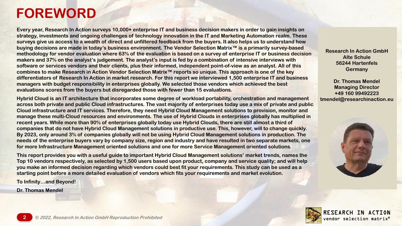# **FOREWORD**

**Every year, Research In Action surveys 10,000+ enterprise IT and business decision makers in order to gain insights on strategy, investments and ongoing challenges of technology innovation in the IT and Marketing Automation realm. These surveys give us access to a wealth of direct and unfiltered feedback from the buyers. It also helps us to understand how buying decisions are made in today's business environment. The Vendor Selection Matrix™ is a primarily survey-based methodology for vendor evaluation where 63% of the evaluation is based on a survey of enterprise IT or business decision makers and 37% on the analyst's judgement. The analyst's input is fed by a combination of intensive interviews with software or services vendors and their clients, plus their informed, independent point-of-view as an analyst. All of this combines to make Research in Action Vendor Selection Matrix™ reports so unique. This approach is one of the key differentiators of Research In Action in market research. For this report we interviewed 1,500 enterprise IT and business managers with budget responsibility in enterprises globally. We selected those vendors which achieved the best evaluations scores from the buyers but disregarded those with fewer than 15 evaluations.** 

**Hybrid Cloud is an IT architecture that incorporates some degree of workload portability, orchestration and management across both private and public Cloud infrastructures. The vast majority of enterprises today use a mix of private and public Cloud infrastructure and IT services. Therefore, they need Hybrid Cloud Management solutions to provision, monitor and manage these multi-Cloud resources and environments. The use of Hybrid Clouds in enterprises globally has multiplied in recent years. While more than 90% of enterprises globally today use Hybrid Clouds, there are still almost a third of companies that do not have Hybrid Cloud Management solutions in productive use. This, however, will to change quickly. By 2023, only around 3% of companies globally will not be using Hybrid Cloud Management solutions in production. The needs of the enterprise buyers vary by company size, region and industry and have resulted in two separate markets, one for more Infrastructure Management oriented solutions and one for more Service Management oriented solutions.** 

**This report provides you with a useful guide to important Hybrid Cloud Management solutions' market trends, names the Top 10 vendors respectively, as selected by 1,500 users based upon product, company and service quality; and will help you make an informed decision regarding which vendors could best fit your requirements. This study can be used as a starting point before a more detailed evaluation of vendors which fits your requirements and market evolution.**

**To Infinity…and Beyond!**

**Dr. Thomas Mendel**

**Research In Action GmbH Alte Schule 56244 Hartenfels Germany**

**Dr. Thomas Mendel Managing Director +49 160 99492223 tmendel@researchinaction.eu**



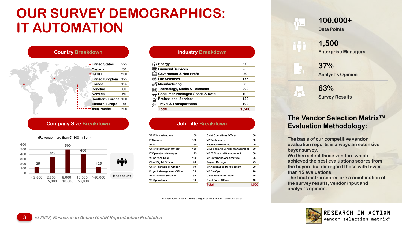# **OUR SURVEY DEMOGRAPHICS: IT AUTOMATION**



### **Company Size Breakdown Job Title Breakdown**



| Energy                                           | 90    |
|--------------------------------------------------|-------|
| <b>m</b> Financial Services                      | 250   |
| <b>Example 1</b> Government & Non Profit         | 80    |
| 中 Life Sciences                                  | 175   |
| Manufacturing                                    | 385   |
| <b>Technology, Media &amp; Telecoms</b><br>loi   | 200   |
| <b>Consumer Packaged Goods &amp; Retail</b><br>簂 | 100   |
| <b>Professional Services</b>                     | 120   |
| <b>Travel &amp; Transportation</b>               | 100   |
| Total                                            | 1.500 |
|                                                  |       |

| <b>VP IT Infrastructure</b>      | 150 | <b>Chief Operations Officer</b>       | 60    |
|----------------------------------|-----|---------------------------------------|-------|
| <b>IT Manager</b>                | 150 | <b>VP Technology</b>                  | 50    |
| <b>VPIT</b>                      | 150 | <b>Business Executive</b>             | 40    |
| <b>Chief Information Officer</b> | 130 | <b>Sourcing and Vendor Management</b> | 30    |
| <b>IT Operations Manager</b>     | 125 | <b>VP IT Financial Management</b>     | 30    |
| <b>VP Service Desk</b>           | 120 | <b>VP Enterprise Architecture</b>     | 25    |
| <b>Chief Digital Officer</b>     | 90  | <b>Project Manager</b>                | 25    |
| <b>Chief Technology Officer</b>  | 70  | <b>VP Application Development</b>     | 20    |
| <b>Project Management Office</b> | 65  | <b>VP DevOps</b>                      | 20    |
| <b>VP IT Shared Services</b>     | 65  | <b>Chief Financial Officer</b>        | 15    |
| <b>VP Operations</b>             | 60  | <b>Chief Sales Officer</b>            | 10    |
|                                  |     | Total                                 | 1.500 |

*All Research in Action surveys are gender neutral and 100% confidential.*

### **100,000+**

**Data Points**

### **1,500 Enterprise Managers**

**37% Analyst's Opinion**

**63% Survey Results**

**見。** 

### **The Vendor Selection Matrix™ Evaluation Methodology:**

**The basis of our competitive vendor evaluation reports is always an extensive buyer survey.**

**We then select those vendors which achieved the best evaluations scores from the buyers but disregard those with fewer than 15 evaluations.** 

**The final matrix scores are a combination of the survey results, vendor input and analyst's opinion.**

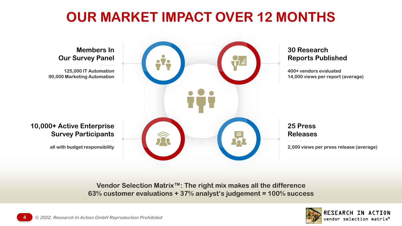# **OUR MARKET IMPACT OVER 12 MONTHS**



**Vendor Selection Matrix™: The right mix makes all the difference 63% customer evaluations + 37% analyst's judgement = 100% success**

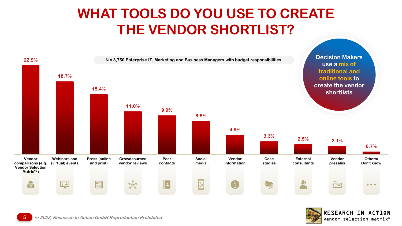# **WHAT TOOLS DO YOU USE TO CREATE THE VENDOR SHORTLIST?**



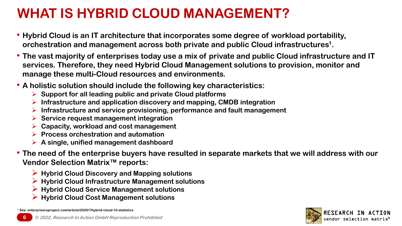# **WHAT IS HYBRID CLOUD MANAGEMENT?**

- **Hybrid Cloud is an IT architecture that incorporates some degree of workload portability, orchestration and management across both private and public Cloud infrastructures<sup>1</sup> .**
- **The vast majority of enterprises today use a mix of private and public Cloud infrastructure and IT services. Therefore, they need Hybrid Cloud Management solutions to provision, monitor and manage these multi-Cloud resources and environments.**
- **A holistic solution should include the following key characteristics:**
	- ➢ **Support for all leading public and private Cloud platforms**
	- ➢ **Infrastructure and application discovery and mapping, CMDB integration**
	- ➢ **Infrastructure and service provisioning, performance and fault management**
	- ➢ **Service request management integration**
	- ➢ **Capacity, workload and cost management**
	- ➢ **Process orchestration and automation**
	- ➢ **A single, unified management dashboard**
- **The need of the enterprise buyers have resulted in separate markets that we will address with our Vendor Selection Matrix™ reports:**
	- ➢ **Hybrid Cloud Discovery and Mapping solutions**
	- ➢ **Hybrid Cloud Infrastructure Management solutions**
	- ➢ **Hybrid Cloud Service Management solutions**
	- ➢ **Hybrid Cloud Cost Management solutions**

**<sup>1</sup> See: enterprisersproject.com/article/2020/7/hybrid-cloud-10-statistics**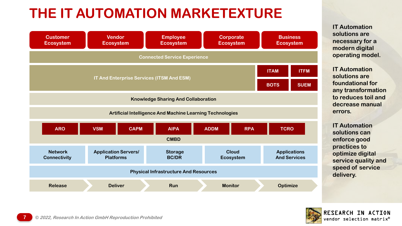# **THE IT AUTOMATION MARKETEXTURE**



**IT Automation solutions are necessary for a modern digital operating model.**

**IT Automation solutions are foundational for any transformation to reduces toil and decrease manual errors.**

**IT Automation solutions can enforce good practices to optimize digital service quality and speed of service delivery.** 

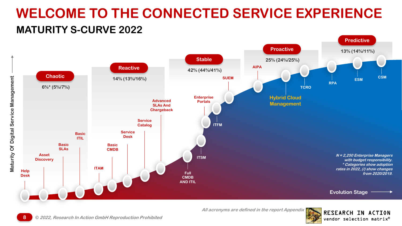# **WELCOME TO THE CONNECTED SERVICE EXPERIENCE MATURITY S-CURVE 2022**



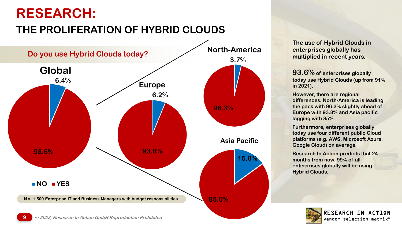# **RESEARCH:**

## **THE PROLIFERATION OF HYBRID CLOUDS**



**The use of Hybrid Clouds in enterprises globally has multiplied in recent years.** 

**93.6% of enterprises globally today use Hybrid Clouds (up from 91% in 2021).**

**However, there are regional differences. North-America is leading the pack with 96.3% slightly ahead of Europe with 93.8% and Asia pacific lagging with 85%.**

**Furthermore, enterprises globally today use four different public Cloud platforms (e.g. AWS, Microsoft Azure, Google Cloud) on average.** 

**Research In Action predicts that 24 months from now, 99% of all enterprises globally will be using Hybrid Clouds.**

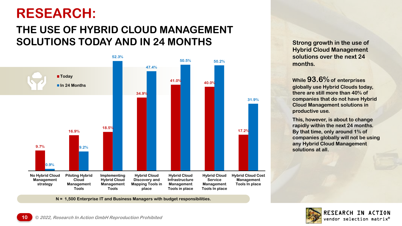# **RESEARCH:**

## **THE USE OF HYBRID CLOUD MANAGEMENT SOLUTIONS TODAY AND IN 24 MONTHS SUBSEX 10 Strong growth in the use of**



**N = 1,500 Enterprise IT and Business Managers with budget responsibilities.**

**Hybrid Cloud Management solutions over the next 24 months.**

**While 93.6% of enterprises globally use Hybrid Clouds today, there are still more than 40% of companies that do not have Hybrid Cloud Management solutions in productive use.**

**This, however, is about to change rapidly within the next 24 months. By that time, only around 1% of companies globally will not be using any Hybrid Cloud Management solutions at all.**

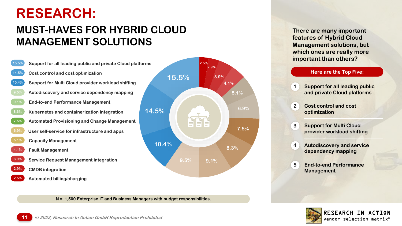# **RESEARCH:**

## **MUST-HAVES FOR HYBRID CLOUD MANAGEMENT SOLUTIONS**



**N = 1,500 Enterprise IT and Business Managers with budget responsibilities.**

**There are many important features of Hybrid Cloud Management solutions, but which ones are really more important than others?** 

### **Here are the Top Five:**

• **Support for all leading public and private Cloud platforms**

• **Cost control and cost optimization 2**

**1**

- **Support for Multi Cloud provider workload shifting 3**
- **Autodiscovery and service dependency mapping 4**
- **End-to-end Performance Management 5**

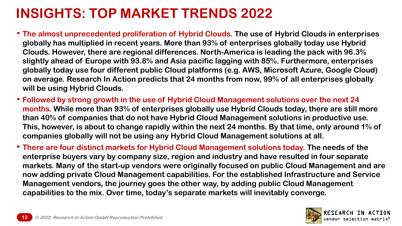# **INSIGHTS: TOP MARKET TRENDS 2022**

- **The almost unprecedented proliferation of Hybrid Clouds. The use of Hybrid Clouds in enterprises globally has multiplied in recent years. More than 93% of enterprises globally today use Hybrid Clouds. However, there are regional differences. North-America is leading the pack with 96.3% slightly ahead of Europe with 93.8% and Asia pacific lagging with 85%. Furthermore, enterprises globally today use four different public Cloud platforms (e.g. AWS, Microsoft Azure, Google Cloud) on average. Research In Action predicts that 24 months from now, 99% of all enterprises globally will be using Hybrid Clouds.**
- **Followed by strong growth in the use of Hybrid Cloud Management solutions over the next 24 months. While more than 93% of enterprises globally use Hybrid Clouds today, there are still more than 40% of companies that do not have Hybrid Cloud Management solutions in productive use. This, however, is about to change rapidly within the next 24 months. By that time, only around 1% of companies globally will not be using any Hybrid Cloud Management solutions at all.**
- **There are four distinct markets for Hybrid Cloud Management solutions today. The needs of the enterprise buyers vary by company size, region and industry and have resulted in four separate markets. Many of the start-up vendors were originally focused on public Cloud Management and are now adding private Cloud Management capabilities. For the established Infrastructure and Service Management vendors, the journey goes the other way, by adding public Cloud Management capabilities to the mix. Over time, today's separate markets will inevitably converge.**

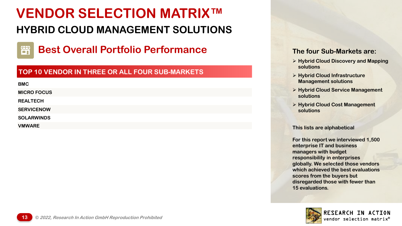## **HYBRID CLOUD MANAGEMENT SOLUTIONS**



**Best Overall Portfolio Performance** The four Sub-Markets are:

### **TOP 10 VENDOR IN THREE OR ALL FOUR SUB-MARKETS**

**BMC MICRO FOCUS REALTECH SERVICENOW SOLARWINDS**

**VMWARE**

- ➢ **Hybrid Cloud Discovery and Mapping solutions**
- ➢ **Hybrid Cloud Infrastructure Management solutions**
- ➢ **Hybrid Cloud Service Management solutions**
- ➢ **Hybrid Cloud Cost Management solutions**

**This lists are alphabetical**

**For this report we interviewed 1,500 enterprise IT and business managers with budget responsibility in enterprises globally. We selected those vendors which achieved the best evaluations scores from the buyers but disregarded those with fewer than 15 evaluations.** 

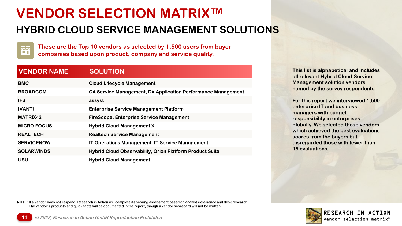### **HYBRID CLOUD SERVICE MANAGEMENT SOLUTIONS**



**These are the Top 10 vendors as selected by 1,500 users from buyer companies based upon product, company and service quality.**

### **VENDOR NAME SOLUTION**

| <b>BMC</b>         | <b>Cloud Lifecycle Management</b>                               |
|--------------------|-----------------------------------------------------------------|
| <b>BROADCOM</b>    | CA Service Management, DX Application Performance Management    |
| <b>IFS</b>         | assyst                                                          |
| <b>IVANTI</b>      | <b>Enterprise Service Management Platform</b>                   |
| <b>MATRIX42</b>    | <b>FireScope, Enterprise Service Management</b>                 |
| <b>MICRO FOCUS</b> | <b>Hybrid Cloud Management X</b>                                |
| <b>REALTECH</b>    | <b>Realtech Service Management</b>                              |
| <b>SERVICENOW</b>  | <b>IT Operations Management, IT Service Management</b>          |
| <b>SOLARWINDS</b>  | <b>Hybrid Cloud Observability, Orion Platform Product Suite</b> |
| <b>USU</b>         | <b>Hybrid Cloud Management</b>                                  |

**This list is alphabetical and includes all relevant Hybrid Cloud Service Management solution vendors named by the survey respondents.**

**For this report we interviewed 1,500 enterprise IT and business managers with budget responsibility in enterprises globally. We selected those vendors which achieved the best evaluations scores from the buyers but disregarded those with fewer than 15 evaluations.** 

**NOTE: If a vendor does not respond, Research in Action will complete its scoring assessment based on analyst experience and desk research. The vendor's products and quick facts will be documented in the report, though a vendor scorecard will not be written.**

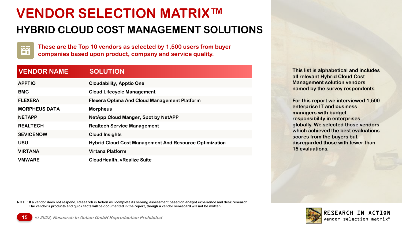### **HYBRID CLOUD COST MANAGEMENT SOLUTIONS**



**These are the Top 10 vendors as selected by 1,500 users from buyer companies based upon product, company and service quality.**

### **VENDOR NAME SOLUTION**

| <b>APPTIO</b>        | <b>Cloudability, Apptio One</b>                               |
|----------------------|---------------------------------------------------------------|
| <b>BMC</b>           | <b>Cloud Lifecycle Management</b>                             |
| <b>FLEXERA</b>       | <b>Flexera Optima And Cloud Management Platform</b>           |
| <b>MORPHEUS DATA</b> | <b>Morpheus</b>                                               |
| <b>NETAPP</b>        | <b>NetApp Cloud Manger, Spot by NetAPP</b>                    |
| <b>REALTECH</b>      | <b>Realtech Service Management</b>                            |
| <b>SEVICENOW</b>     | <b>Cloud Insights</b>                                         |
| <b>USU</b>           | <b>Hybrid Cloud Cost Management And Resource Optimization</b> |
| <b>VIRTANA</b>       | <b>Virtana Platform</b>                                       |
| <b>VMWARE</b>        | <b>CloudHealth, vRealize Suite</b>                            |

**This list is alphabetical and includes all relevant Hybrid Cloud Cost Management solution vendors named by the survey respondents.**

**For this report we interviewed 1,500 enterprise IT and business managers with budget responsibility in enterprises globally. We selected those vendors which achieved the best evaluations scores from the buyers but disregarded those with fewer than 15 evaluations.** 

**NOTE: If a vendor does not respond, Research in Action will complete its scoring assessment based on analyst experience and desk research. The vendor's products and quick facts will be documented in the report, though a vendor scorecard will not be written.**

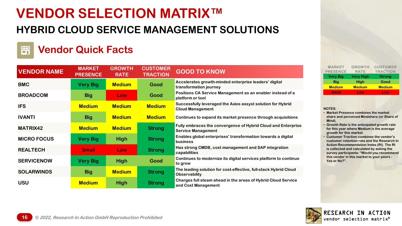## **HYBRID CLOUD SERVICE MANAGEMENT SOLUTIONS**

### ËÏ **Vendor Quick Facts**

| <b>VENDOR NAME</b> | <b>MARKET</b><br><b>PRESENCE</b> | <b>GROWTH</b><br><b>RATE</b> | <b>CUSTOMER</b><br><b>TRACTION</b> | <b>GOOD TO KNOW</b>                                                                        |
|--------------------|----------------------------------|------------------------------|------------------------------------|--------------------------------------------------------------------------------------------|
| <b>BMC</b>         | <b>Very Big</b>                  | <b>Medium</b>                | Good                               | Accelerates growth-minded enterprise leaders' digital<br>transformation journey            |
| <b>BROADCOM</b>    | <b>Big</b>                       | Low                          | Good                               | Positions CA Service Management as an enabler instead of a<br>platform or tool             |
| <b>IFS</b>         | <b>Medium</b>                    | <b>Medium</b>                | <b>Medium</b>                      | Successfully leveraged the Axios assyst solution for Hybrid<br><b>Cloud Management</b>     |
| <b>IVANTI</b>      | <b>Big</b>                       | <b>Medium</b>                | <b>Medium</b>                      | Continues to expand its market presence through acquisitions                               |
| <b>MATRIX42</b>    | <b>Medium</b>                    | <b>Medium</b>                | <b>Strong</b>                      | Fully embraces the convergence of Hybrid Cloud and Enterprise<br><b>Service Management</b> |
| <b>MICRO FOCUS</b> | <b>Very Big</b>                  | <b>High</b>                  | <b>Strong</b>                      | Enables global enterprises' transformation towards a digital<br>business                   |
| <b>REALTECH</b>    | <b>Small</b>                     | Low                          | <b>Strong</b>                      | Has strong CMDB, cost management and SAP integration<br>capabilities                       |
| <b>SERVICENOW</b>  | <b>Very Big</b>                  | <b>High</b>                  | Good                               | Continues to modernize its digital services platform to continue<br>to grow                |
| <b>SOLARWINDS</b>  | <b>Big</b>                       | <b>Medium</b>                | <b>Strong</b>                      | The leading solution for cost-effective, full-stack Hybrid Cloud<br><b>Observability</b>   |
| <b>USU</b>         | <b>Medium</b>                    | <b>High</b>                  | <b>Strong</b>                      | Charges full steam ahead in the areas of Hybrid Cloud Service<br>and Cost Management       |

| <b>MARKET</b><br><b>PRESENCE</b> | <b>GROWTH</b><br><b>RATE</b> | <b>CUSTOMER</b><br><b>TRACTION</b> |
|----------------------------------|------------------------------|------------------------------------|
| <b>Very Big</b>                  | <b>Very High</b>             | <b>Strong</b>                      |
| Big                              | <b>High</b>                  | Good                               |
| <b>Medium</b>                    | <b>Medium</b>                | <b>Medium</b>                      |
| <b>Small</b>                     | Low                          | Low                                |
|                                  |                              |                                    |

### **NOTES:**

- **Market Presence combines the market share and perceived Mindshare (or Share of Mind).**
- **Growth Rate is the anticipated growth rate for this year where Medium is the average growth for this market.**
- **Customer Traction combines the vendor's customer retention rate and the Research In Action Recommendation Index (RI). The RI is collected and calculated by asking the survey participants: "Would you recommend this vendor in this market to your peers - Yes or No?".**

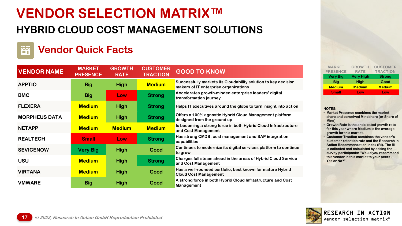## **HYBRID CLOUD COST MANAGEMENT SOLUTIONS**

### **Vendor Quick Facts** 司

| <b>VENDOR NAME</b>   | <b>MARKET</b><br><b>PRESENCE</b> | <b>GROWTH</b><br><b>RATE</b> | <b>CUSTOMER</b><br><b>TRACTION</b> | <b>GOOD TO KNOW</b>                                                                                     |
|----------------------|----------------------------------|------------------------------|------------------------------------|---------------------------------------------------------------------------------------------------------|
| <b>APPTIO</b>        | <b>Big</b>                       | <b>High</b>                  | <b>Medium</b>                      | Successfully markets its Cloudability solution to key decision<br>makers of IT enterprise organizations |
| <b>BMC</b>           | <b>Big</b>                       | Low                          | <b>Strong</b>                      | Accelerates growth-minded enterprise leaders' digital<br>transformation journey                         |
| <b>FLEXERA</b>       | <b>Medium</b>                    | <b>High</b>                  | <b>Strong</b>                      | Helps IT executives around the globe to turn insight into action                                        |
| <b>MORPHEUS DATA</b> | <b>Medium</b>                    | <b>High</b>                  | <b>Strong</b>                      | Offers a 100% agnostic Hybrid Cloud Management platform<br>designed from the ground up                  |
| <b>NETAPP</b>        | <b>Medium</b>                    | <b>Medium</b>                | <b>Medium</b>                      | Is becoming a strong force in both Hybrid Cloud Infrastructure<br>and Cost Management                   |
| <b>REALTECH</b>      | <b>Small</b>                     | Low                          | <b>Strong</b>                      | Has strong CMDB, cost management and SAP integration<br>capabilities                                    |
| <b>SEVICENOW</b>     | <b>Very Big</b>                  | <b>High</b>                  | Good                               | Continues to modernize its digital services platform to continue<br>to grow                             |
| <b>USU</b>           | <b>Medium</b>                    | <b>High</b>                  | <b>Strong</b>                      | Charges full steam ahead in the areas of Hybrid Cloud Service<br>and Cost Management                    |
| <b>VIRTANA</b>       | <b>Medium</b>                    | <b>High</b>                  | Good                               | Has a well-rounded portfolio, best known for mature Hybrid<br><b>Cloud Cost Management</b>              |
| <b>VMWARE</b>        | <b>Big</b>                       | <b>High</b>                  | Good                               | A strong force in both Hybrid Cloud Infrastructure and Cost<br><b>Management</b>                        |

| <b>MARKET</b><br><b>PRESENCE</b> | <b>GROWTH</b><br><b>RATE</b> | <b>CUSTOMER</b><br><b>TRACTION</b> |
|----------------------------------|------------------------------|------------------------------------|
| <b>Very Big</b>                  | <b>Very High</b>             | <b>Strong</b>                      |
| Big                              | <b>High</b>                  | Good                               |
| <b>Medium</b>                    | <b>Medium</b>                | <b>Medium</b>                      |
| <b>Small</b>                     | Low                          | Low                                |
|                                  |                              |                                    |

### **NOTES:**

- **Market Presence combines the market share and perceived Mindshare (or Share of Mind).**
- **Growth Rate is the anticipated growth rate for this year where Medium is the average growth for this market.**
- **Customer Traction combines the vendor's customer retention rate and the Research In Action Recommendation Index (RI). The RI is collected and calculated by asking the survey participants: "Would you recommend this vendor in this market to your peers - Yes or No?".**

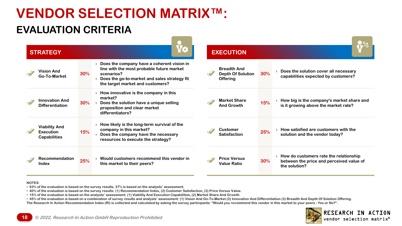## **EVALUATION CRITERIA**

| <b>STRATEGY</b>                                                 |                                                                                                                                                                                                     | <b>EXECUTION</b>                                                                                                                                         |  |
|-----------------------------------------------------------------|-----------------------------------------------------------------------------------------------------------------------------------------------------------------------------------------------------|----------------------------------------------------------------------------------------------------------------------------------------------------------|--|
| <b>Vision And</b><br>Go-To-Market                               | Does the company have a coherent vision in<br>line with the most probable future market<br>$30\%$<br>scenarios?<br>Does the go-to-market and sales strategy fit<br>the target market and customers? | <b>Breadth And</b><br>Does the solution cover all necessary<br>30%<br><b>Depth Of Solution</b><br>capabilities expected by customers?<br><b>Offering</b> |  |
| <b>Innovation And</b><br><b>Differentiation</b>                 | How innovative is the company in this<br>market?<br>30%<br>Does the solution have a unique selling<br>proposition and clear market<br>differentiators?                                              | <b>Market Share</b><br>How big is the company's market share and<br>15%<br>is it growing above the market rate?<br><b>And Growth</b>                     |  |
| <b>Viability And</b><br><b>Execution</b><br><b>Capabilities</b> | How likely is the long-term survival of the<br>company in this market?<br>15%<br>Does the company have the necessary<br>resources to execute the strategy?                                          | How satisfied are customers with the<br>Customer<br>25%<br>solution and the vendor today?<br><b>Satisfaction</b>                                         |  |
| Recommendation<br>Index                                         | Would customers recommend this vendor in<br>25%<br>this market to their peers?                                                                                                                      | How do customers rate the relationship<br><b>Price Versus</b><br>30%<br>between the price and perceived value of<br><b>Value Ratio</b><br>the solution?  |  |

### **NOTES:**

- **63% of the evaluation is based on the survey results, 37% is based on the analysts' assessment.**
- **40% of the evaluation is based on the survey results: (1) Recommendation Index, (2) Customer Satisfaction, (3) Price Versus Value.**
- **15% of the evaluation is based on the analysts' assessment: (1) Viability And Execution Capabilities, (2) Market Share And Growth.**

• **45% of the evaluation is based on a combination of survey results and analysts' assessment: (1) Vision And Go-To-Market (2) Innovation And Differentiation (3) Breadth And Depth Of Solution Offering. The Research In Action Recommendation Index (RI) is collected and calculated by asking the survey participants: "Would you recommend this vendor in this market to your peers - Yes or No?".**

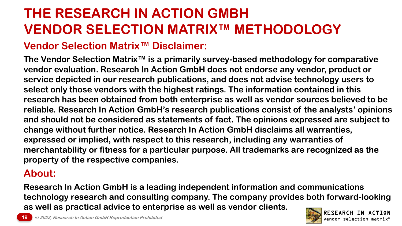# **THE RESEARCH IN ACTION GMBH VENDOR SELECTION MATRIX™ METHODOLOGY**

### **Vendor Selection Matrix™ Disclaimer:**

**The Vendor Selection Matrix™ is a primarily survey-based methodology for comparative vendor evaluation. Research In Action GmbH does not endorse any vendor, product or service depicted in our research publications, and does not advise technology users to select only those vendors with the highest ratings. The information contained in this research has been obtained from both enterprise as well as vendor sources believed to be reliable. Research In Action GmbH's research publications consist of the analysts' opinions and should not be considered as statements of fact. The opinions expressed are subject to change without further notice. Research In Action GmbH disclaims all warranties, expressed or implied, with respect to this research, including any warranties of merchantability or fitness for a particular purpose. All trademarks are recognized as the property of the respective companies.**

### **About:**

**Research In Action GmbH is a leading independent information and communications technology research and consulting company. The company provides both forward-looking as well as practical advice to enterprise as well as vendor clients.**

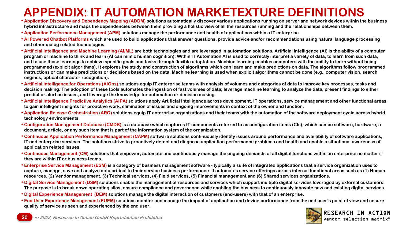## **APPENDIX: IT AUTOMATION MARKETEXTURE DEFINITIONS**

- **Application Discovery and Dependency Mapping (ADDM) solutions automatically discover various applications running on server and network devices within the business hybrid infrastructure and maps the dependencies between them providing a holistic view of all the resources running and the relationships between them.**
- **Application Performance Management (APM) solutions manage the performance and health of applications within a IT enterprise.**
- **AI Powered Chatbot Platforms which are used to build applications that answer questions, provide advice and/or recommendations using natural language processing and other dialog related technologies.**
- **Artificial Intelligence and Machine Learning (AI/ML) are both technologies and are leveraged in automation solutions. Artificial intelligence (AI) is the ability of a computer program or machine to think and learn (AI can mimic human cognition). Within IT Automation AI is used to correctly interpret a variety of data, to learn from such data, and to use those learnings to achieve specific goals and tasks through flexible adaptation. Machine learning enables computers with the ability to learn without being programmed (explicit algorithms). It explores the study and construction of algorithms which can learn and make predictions on data. The algorithms follow programmed instructions or can make predictions or decisions based on the data. Machine learning is used when explicit algorithms cannot be done (e.g., computer vision, search engines, optical character recognition).**
- **Artificial Intelligence for Operations (AIOps) solutions equip IT enterprise teams with analysis of volumes and categories of data to improve key processes, tasks and decision making. The adoption of these tools automates the ingestion of fast volumes of data; leverage machine learning to analyze the data, present findings to either predict or alert on issues, and leverage the knowledge for automation or decision making.**
- **Artificial Intelligence Predictive Analytics (AIPA) solutions apply Artificial Intelligence across development, IT operations, service management and other functional areas to gain intelligent insights for proactive work, elimination of issues and ongoing improvements in context of the owner and function.**
- **Application Release Orchestration (ARO) solutions equip IT enterprise organizations and their teams with the automation of the software deployment cycle across hybrid technology environments.**
- **Configuration Management Database (CMDB) is a database which captures IT components referred to as configuration items (CIs), which can be software, hardware, a document, article, or any such item that is part of the information system of the organization.**
- **Continuous Application Performance Management (CAPM) software solutions continuously identify issues around performance and availability of software applications, IT and enterprise services. The solutions strive to proactively detect and diagnose application performance problems and health and enable a situational awareness of application related issues.**
- **Continuous Management (CM) solutions that empower, automate and continuously manage the ongoing demands of all digital functions within an enterprise no matter if they are within IT or business teams.**
- **Enterprise Service Management (ESM) is a category of business management software - typically a suite of integrated applications that a service organization uses to capture, manage, save and analyze data critical to their service business performance. It automates service offerings across internal functional areas such as (1) Human resources, (2) Vendor management, (3) Technical services, (4) Field services, (5) Financial management and (6) Shared services organizations.**
- **Digital Service Management (DSM) solutions enable the management of resources and services which support multiple digital services leveraged by external customers. The purpose is to break down operating silos, ensure compliance and governance while enabling the business to continuously innovate new and existing digital services.**
- **Digital Experience Management (DEM) solutions manage the digital interaction of customers (end-users) with that of an enterprise.**
- **End User Experience Management (EUEM) solutions monitor and manage the impact of application and device performance from the end user's point of view and ensure quality of service as seen and experienced by the end user.**

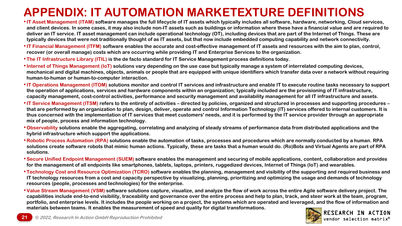## **APPENDIX: IT AUTOMATION MARKETEXTURE DEFINITIONS**

- •**IT Asset Management (ITAM) software manages the full lifecycle of IT assets which typically includes all software, hardware, networking, Cloud services, and client devices. In some cases, it may also include non-IT assets such as buildings or information where these have a financial value and are required to deliver an IT service. IT asset management can include operational technology (OT), including devices that are part of the Internet of Things. These are typically devices that were not traditionally thought of as IT assets, but that now include embedded computing capability and network connectivity.**
- •**IT Financial Management (ITFM) software enables the accurate and cost-effective management of IT assets and resources with the aim to plan, control, recover (or overall manage) costs which are occurring while providing IT and Enterprise Services to the organization.**
- **The IT Infrastructure Library (ITIL) is the de facto standard for IT Service Management process definitions today.**
- •**Internet of Things Management (IoT) solutions vary depending on the use case but typically manage a system of interrelated computing devices, mechanical and digital machines, objects, animals or people that are equipped with unique identifiers which transfer data over a network without requiring human-to-human or human-to-computer interaction.**
- •**IT Operations Management (ITOM) solutions monitor and control IT services and infrastructure and enable IT to execute routine tasks necessary to support the operation of applications, services and hardware components within an organization; typically included are the provisioning of IT infrastructure, capacity management, cost-control activities, performance and security management and availability management for all IT infrastructure and assets.**
- •**IT Service Management (ITSM) refers to the entirety of activities – directed by policies, organized and structured in processes and supporting procedures – that are performed by an organization to plan, design, deliver, operate and control Information Technology (IT) services offered to internal customers. It is thus concerned with the implementation of IT services that meet customers' needs, and it is performed by the IT service provider through an appropriate mix of people, process and information technology.**
- **Observability solutions enable the aggregating, correlating and analyzing of steady streams of performance data from distributed applications and the hybrid infrastructure which support the applications.**
- **Robotic Process Automation (RPA) solutions enable the automation of tasks, processes and procedures which are normally conducted by a human. RPA solutions create software robots that mimic human actions. Typically, these are tasks that a human would do. (Ro)Bots and Virtual Agents are part of RPA solutions.**
- •**Secure Unified Endpoint Management (SUEM) software enables the management and securing of mobile applications, content, collaboration and provides for the management of all endpoints like smartphones, tablets, laptops, printers, ruggedized devices, Internet of Things (IoT) and wearables.**
- **Technology Cost and Resource Optimization (TCRO) software enables the planning, management and visibility of the supporting and required business and IT technology resources from a cost and capacity perspective by visualizing, planning, prioritizing and optimizing the usage and demands of technology resources (people, processes and technologies) for the enterprise.**
- •**Value Stream Management (VSM) software solutions capture, visualize, and analyze the flow of work across the entire Agile software delivery project. The capabilities include end-to-end visibility, traceability and governance over the entire process and help to plan, track, and steer work at the team, program, portfolio, and enterprise levels. It includes the people working on a project, the systems which are operated and leveraged, and the flow of information and materials between teams. It enables the measurement of speed and quality for digital transformations.**